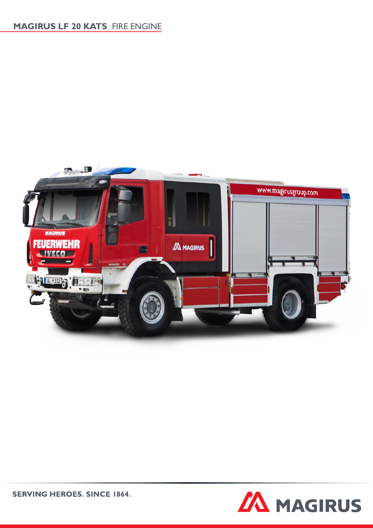# **MAGIRUS LF 20 KATS** FIRE ENGINE





**SERVING HEROES. SINCE 1864.**